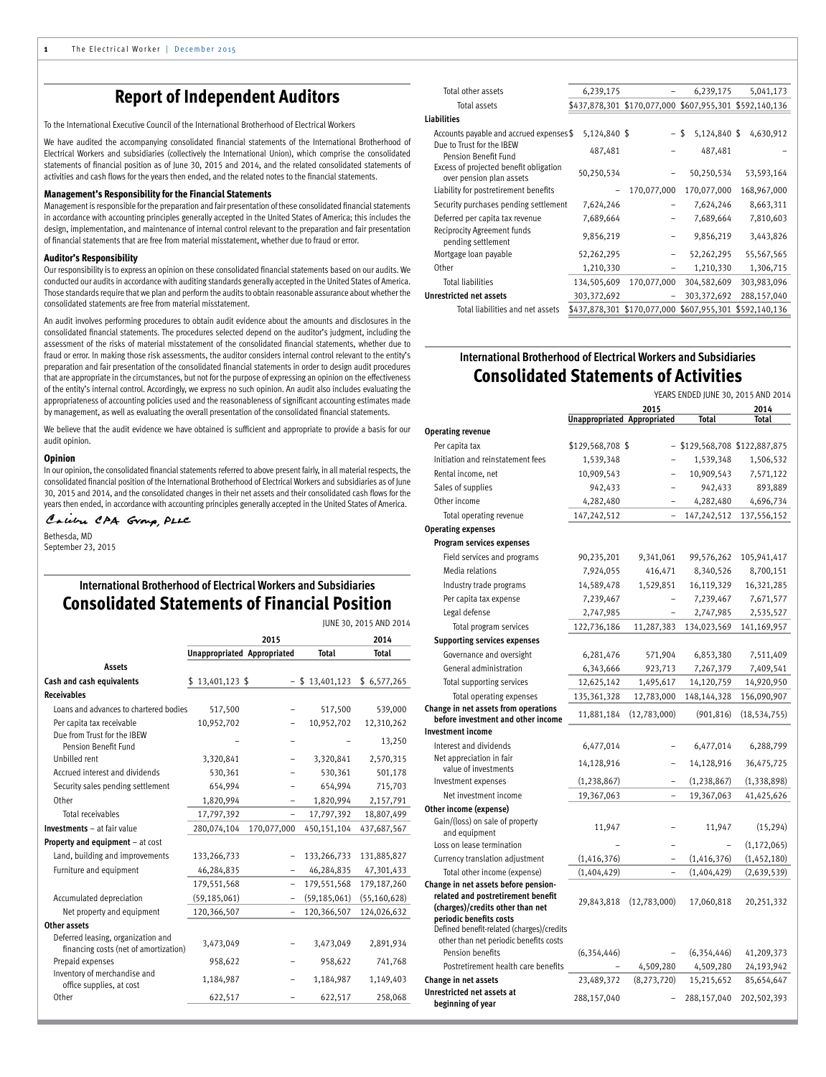# **Report of Independent Auditors**

To the International Executive Council of the International Brotherhood of Electrical Workers

We have audited the accompanying consolidated financial statements of the International Brotherhood of Electrical Workers and subsidiaries (collectively the International Union), which comprise the consolidated statements of financial position as of June 30, 2015 and 2014, and the related consolidated statements of activities and cash flows for the years then ended, and the related notes to the financial statements.

#### **Management's Responsibility for the Financial Statements**

Management is responsible for the preparation and fair presentation of these consolidated financial statements in accordance with accounting principles generally accepted in the United States of America; this includes the design, implementation, and maintenance of internal control relevant to the preparation and fair presentation of financial statements that are free from material misstatement, whether due to fraud or error.

#### **Auditor's Responsibility**

Our responsibility is to express an opinion on these consolidated financial statements based on our audits. We conducted our audits in accordance with auditing standards generally accepted in the United States of America. Those standards require that we plan and perform the audits to obtain reasonable assurance about whether the consolidated statements are free from material misstatement.

An audit involves performing procedures to obtain audit evidence about the amounts and disclosures in the consolidated financial statements. The procedures selected depend on the auditor's judgment, including the assessment of the risks of material misstatement of the consolidated financial statements, whether due to fraud or error. In making those risk assessments, the auditor considers internal control relevant to the entity's preparation and fair presentation of the consolidated financial statements in order to design audit procedures that are appropriate in the circumstances, but not for the purpose of expressing an opinion on the effectiveness of the entity's internal control. Accordingly, we express no such opinion. An audit also includes evaluating the appropriateness of accounting policies used and the reasonableness of significant accounting estimates made by management, as well as evaluating the overall presentation of the consolidated financial statements.

We believe that the audit evidence we have obtained is sufficient and appropriate to provide a basis for our audit opinion.

#### **Opinion**

In our opinion, the consolidated financial statements referred to above present fairly, in all material respects, the consolidated financial position of the International Brotherhood of Electrical Workers and subsidiaries as of June 30, 2015 and 2014, and the consolidated changes in their net assets and their consolidated cash flows for the years then ended, in accordance with accounting principles generally accepted in the United States of America.

Calibre CPA Group, PLLC

Bethesda, MD September 23, 2015

## **International Brotherhood of Electrical Workers and Subsidiaries Consolidated Statements of Financial Position**

JUNE 30, 2015 AND 2014

|                                                                             |                                    | 2014              |                   |                |
|-----------------------------------------------------------------------------|------------------------------------|-------------------|-------------------|----------------|
|                                                                             | <b>Unappropriated Appropriated</b> |                   | <b>Total</b>      | <b>Total</b>   |
| <b>Assets</b>                                                               |                                    |                   |                   |                |
| Cash and cash equivalents                                                   | $$13,401,123$ \$                   |                   | $-$ \$ 13,401,123 | \$6,577,265    |
| <b>Receivables</b>                                                          |                                    |                   |                   |                |
| Loans and advances to chartered bodies                                      | 517,500                            |                   | 517,500           | 539,000        |
| Per capita tax receivable                                                   | 10,952,702                         |                   | 10,952,702        | 12,310,262     |
| Due from Trust for the IBEW<br>Pension Benefit Fund                         |                                    |                   |                   | 13,250         |
| Unbilled rent                                                               | 3,320,841                          |                   | 3,320,841         | 2,570,315      |
| Accrued interest and dividends                                              | 530,361                            |                   | 530,361           | 501,178        |
| Security sales pending settlement                                           | 654,994                            |                   | 654,994           | 715,703        |
| Other                                                                       | 1,820,994                          |                   | 1,820,994         | 2,157,791      |
| Total receivables                                                           | 17,797,392                         |                   | 17,797,392        | 18,807,499     |
| <b>Investments</b> – at fair value                                          | 280,074,104                        | 170,077,000       | 450,151,104       | 437,687,567    |
| <b>Property and equipment</b> $-$ at cost                                   |                                    |                   |                   |                |
| Land, building and improvements                                             | 133,266,733                        |                   | 133,266,733       | 131,885,827    |
| Furniture and equipment                                                     | 46,284,835                         |                   | 46,284,835        | 47,301,433     |
|                                                                             | 179,551,568                        | $\qquad \qquad -$ | 179,551,568       | 179,187,260    |
| Accumulated depreciation                                                    | (59, 185, 061)                     |                   | (59, 185, 061)    | (55, 160, 628) |
| Net property and equipment                                                  | 120,366,507                        |                   | 120,366,507       | 124,026,632    |
| Other assets                                                                |                                    |                   |                   |                |
| Deferred leasing, organization and<br>financing costs (net of amortization) | 3,473,049                          |                   | 3,473,049         | 2,891,934      |
| Prepaid expenses                                                            | 958,622                            |                   | 958,622           | 741,768        |
| Inventory of merchandise and<br>office supplies, at cost                    | 1,184,987                          |                   | 1,184,987         | 1,149,403      |
| Other                                                                       | 622,517                            |                   | 622,517           | 258,068        |

| Total other assets                                                 | 6,239,175     |                                                         | 6,239,175            | 5,041,173     |
|--------------------------------------------------------------------|---------------|---------------------------------------------------------|----------------------|---------------|
| Total assets                                                       |               | \$437,878,301 \$170,077,000 \$607,955,301 \$592,140,136 |                      |               |
| <b>Liabilities</b>                                                 |               |                                                         |                      |               |
| Accounts payable and accrued expenses \$                           | 5,124,840 \$  |                                                         | 5,124,840 \$<br>- \$ | 4,630,912     |
| Due to Trust for the IBEW<br>Pension Benefit Fund                  | 487,481       |                                                         | 487,481              |               |
| Excess of projected benefit obligation<br>over pension plan assets | 50,250,534    |                                                         | 50,250,534           | 53,593,164    |
| Liability for postretirement benefits                              |               | 170,077,000                                             | 170,077,000          | 168,967,000   |
| Security purchases pending settlement                              | 7,624,246     |                                                         | 7,624,246            | 8,663,311     |
| Deferred per capita tax revenue                                    | 7,689,664     | -                                                       | 7,689,664            | 7,810,603     |
| Reciprocity Agreement funds<br>pending settlement                  | 9,856,219     |                                                         | 9,856,219            | 3,443,826     |
| Mortgage loan payable                                              | 52,262,295    |                                                         | 52,262,295           | 55,567,565    |
| Other                                                              | 1,210,330     |                                                         | 1,210,330            | 1,306,715     |
| <b>Total liabilities</b>                                           | 134,505,609   | 170,077,000                                             | 304,582,609          | 303,983,096   |
| Unrestricted net assets                                            | 303, 372, 692 |                                                         | 303,372,692          | 288,157,040   |
| Total liabilities and net assets                                   |               | \$437,878,301 \$170,077,000 \$607,955,301               |                      | \$592,140,136 |

### **International Brotherhood of Electrical Workers and Subsidiaries Consolidated Statements of Activities**

|                                                                        | YEARS ENDED JUNE 30, 2015 AND 2014 |               |                                 |                |  |
|------------------------------------------------------------------------|------------------------------------|---------------|---------------------------------|----------------|--|
|                                                                        |                                    | 2015          |                                 | 2014           |  |
|                                                                        | <b>Unappropriated Appropriated</b> |               | <b>Total</b>                    | <b>Total</b>   |  |
| <b>Operating revenue</b>                                               |                                    |               |                                 |                |  |
| Per capita tax                                                         | \$129,568,708 \$                   |               | $-$ \$129,568,708 \$122,887,875 |                |  |
| Initiation and reinstatement fees                                      | 1,539,348                          |               | 1,539,348                       | 1,506,532      |  |
| Rental income, net                                                     | 10,909,543                         |               | 10,909,543                      | 7,571,122      |  |
| Sales of supplies                                                      | 942,433                            |               | 942,433                         | 893,889        |  |
| Other income                                                           | 4,282,480                          |               | 4,282,480                       | 4,696,734      |  |
| Total operating revenue                                                | 147,242,512                        |               | 147,242,512                     | 137,556,152    |  |
| <b>Operating expenses</b>                                              |                                    |               |                                 |                |  |
| Program services expenses                                              |                                    |               |                                 |                |  |
| Field services and programs                                            | 90,235,201                         | 9,341,061     | 99,576,262                      | 105,941,417    |  |
| Media relations                                                        | 7,924,055                          | 416,471       | 8,340,526                       | 8,700,151      |  |
| Industry trade programs                                                | 14,589,478                         | 1,529,851     | 16,119,329                      | 16,321,285     |  |
| Per capita tax expense                                                 | 7,239,467                          |               | 7,239,467                       | 7,671,577      |  |
| Legal defense                                                          | 2,747,985                          |               | 2,747,985                       | 2,535,527      |  |
| Total program services                                                 | 122,736,186                        | 11,287,383    | 134,023,569                     | 141,169,957    |  |
| <b>Supporting services expenses</b>                                    |                                    |               |                                 |                |  |
| Governance and oversight                                               | 6,281,476                          | 571,904       | 6,853,380                       | 7,511,409      |  |
| General administration                                                 | 6,343,666                          | 923,713       | 7,267,379                       | 7,409,541      |  |
| Total supporting services                                              | 12,625,142                         | 1,495,617     | 14,120,759                      | 14,920,950     |  |
| Total operating expenses                                               | 135,361,328                        | 12,783,000    | 148, 144, 328                   | 156,090,907    |  |
| Change in net assets from operations                                   |                                    |               |                                 |                |  |
| before investment and other income                                     | 11,881,184                         | (12,783,000)  | (901, 816)                      | (18, 534, 755) |  |
| <b>Investment income</b>                                               |                                    |               |                                 |                |  |
| Interest and dividends                                                 | 6,477,014                          |               | 6,477,014                       | 6,288,799      |  |
| Net appreciation in fair                                               | 14,128,916                         |               | 14,128,916                      | 36,475,725     |  |
| value of investments                                                   |                                    |               |                                 |                |  |
| Investment expenses                                                    | (1, 238, 867)                      |               | (1, 238, 867)                   | (1,338,898)    |  |
| Net investment income                                                  | 19,367,063                         |               | 19,367,063                      | 41,425,626     |  |
| Other income (expense)                                                 |                                    |               |                                 |                |  |
| Gain/(loss) on sale of property<br>and equipment                       | 11,947                             |               | 11,947                          | (15, 294)      |  |
| Loss on lease termination                                              |                                    |               |                                 | (1, 172, 065)  |  |
| Currency translation adjustment                                        | (1,416,376)                        |               | (1,416,376)                     | (1,452,180)    |  |
| Total other income (expense)                                           | (1,404,429)                        |               | (1,404,429)                     | (2,639,539)    |  |
| Change in net assets before pension-                                   |                                    |               |                                 |                |  |
| related and postretirement benefit<br>(charges)/credits other than net | 29,843,818                         | (12,783,000)  | 17,060,818                      | 20,251,332     |  |
| periodic benefits costs                                                |                                    |               |                                 |                |  |
| Defined benefit-related (charges)/credits                              |                                    |               |                                 |                |  |
| other than net periodic benefits costs                                 |                                    |               |                                 |                |  |
| Pension benefits                                                       | (6, 354, 446)                      |               | (6, 354, 446)                   | 41,209,373     |  |
| Postretirement health care benefits                                    |                                    | 4,509,280     | 4,509,280                       | 24,193,942     |  |
| Change in net assets                                                   | 23,489,372                         | (8, 273, 720) | 15,215,652                      | 85,654,647     |  |
| Unrestricted net assets at<br>beginning of year                        | 288,157,040                        |               | 288,157,040                     | 202,502,393    |  |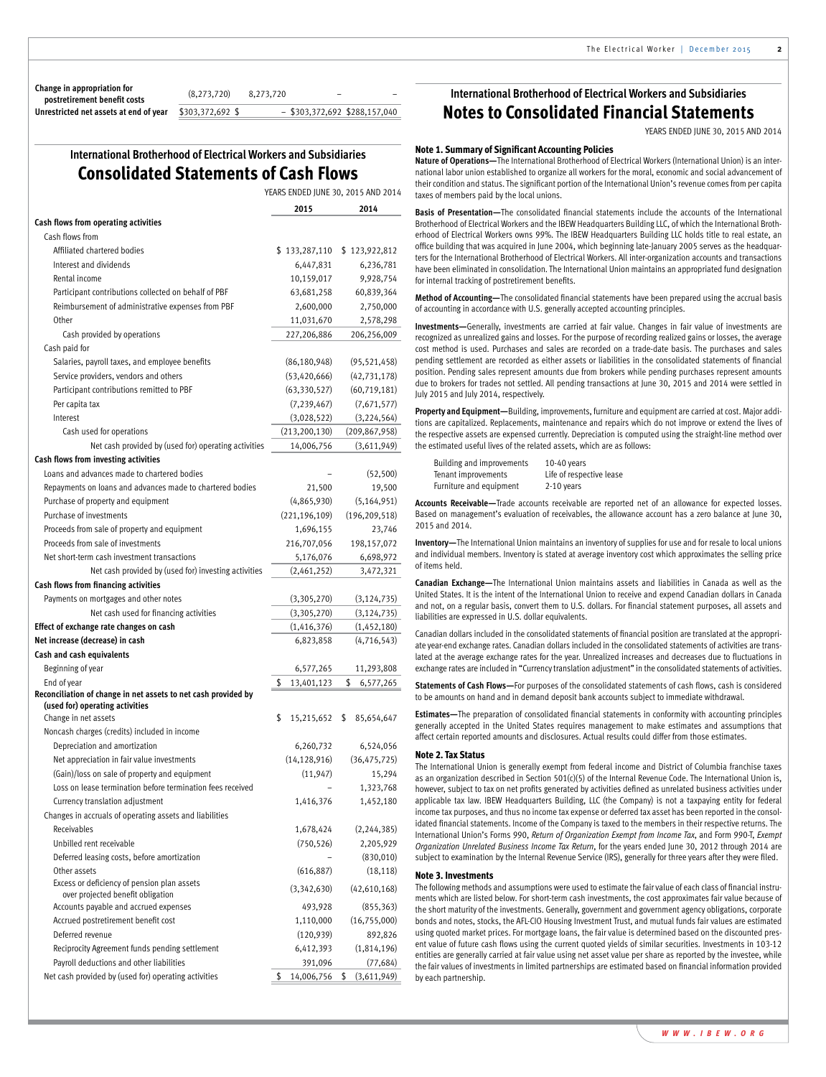**Change in appropriation for postretirement benefit costs** (8,273,720) 8,273,720 – – **Unrestricted net assets at end of year** \$303,372,692 \$ – \$303,372,692 \$288,157,040

### **International Brotherhood of Electrical Workers and Subsidiaries Consolidated Statements of Cash Flows**

YEARS ENDED JUNE 30, 2015 AND 2014 **2015 2014 Cash flows from operating activities** Cash flows from Affiliated chartered bodies <br>\$ 133,287,110 \$ 123,922,812 Interest and dividends 6,447,831 6,236,781 Rental income 10,159,017 9,928,754 Participant contributions collected on behalf of PRF 63,681,258 60,839,364 Reimbursement of administrative expenses from PBF 2,600,000 2,750,000 Other 2,578,298 Cash provided by operations 227,206,886 206,256,009 Cash paid for Salaries, payroll taxes, and employee benefits (86,180,948) (95,521,458) Service providers, vendors and others (53,420,666) (42,731,178) Participant contributions remitted to PBF (63,330,527) (60,719,181) Per capita tax (7,239,467) (7,671,577) Interest (3,028,522) (3,224,564) Cash used for operations (213,200,130) (209,867,958) Net cash provided by (used for) operating activities 14,006,756 (3,611,949) **Cash flows from investing activities** Loans and advances made to chartered bodies – (52,500) Repayments on loans and advances made to chartered bodies 21,500 19,500 Purchase of property and equipment (4,865,930) (5,164,951) Purchase of investments (221,196,109) (196,209,518) Proceeds from sale of property and equipment 1,696,155 23,746 Proceeds from sale of investments 216,707,056 198,157,072 Net short-term cash investment transactions 5,176,076 6,698,972 Net cash provided by (used for) investing activities (2,461,252) 3,472,321 **Cash flows from financing activities** Payments on mortgages and other notes (3,305,270) (3,124,735) Net cash used for financing activities (3,305,270) (3,124,735) **Effect of exchange rate changes on cash** (1,416,376) (1,452,180) **Net increase (decrease) in cash** 6,823,858 (4,716,543) **Cash and cash equivalents** Beginning of year 6,577,265 11,293,808 End of year  $$ 13,401,123 $ 6,577,265$ **Reconciliation of change in net assets to net cash provided by (used for) operating activities** Change in net assets **\$** 15,215,652 \$ 85,654,647 Noncash charges (credits) included in income Depreciation and amortization 6,260,732 6,524,056 Net appreciation in fair value investments (14,128,916) (36,475,725) (Gain)/loss on sale of property and equipment (11,947) 15,294 Loss on lease termination before termination fees received – 1,323,768 Currency translation adjustment 1,416,376 1,452,180 Changes in accruals of operating assets and liabilities

| Receivables                                                                      | 1,678,424   | (2, 244, 385) |
|----------------------------------------------------------------------------------|-------------|---------------|
| Unbilled rent receivable                                                         | (750, 526)  | 2,205,929     |
| Deferred leasing costs, before amortization                                      |             | (830,010)     |
| Other assets                                                                     | (616, 887)  | (18, 118)     |
| Excess or deficiency of pension plan assets<br>over projected benefit obligation | (3,342,630) | (42,610,168)  |
| Accounts payable and accrued expenses                                            | 493,928     | (855, 363)    |
| Accrued postretirement benefit cost                                              | 1,110,000   | (16,755,000)  |
| Deferred revenue                                                                 | (120, 939)  | 892,826       |
| Reciprocity Agreement funds pending settlement                                   | 6,412,393   | (1,814,196)   |
| Payroll deductions and other liabilities                                         | 391,096     | (77, 684)     |
| Net cash provided by (used for) operating activities                             | 14,006,756  | (3,611,949)   |
|                                                                                  |             |               |

## **International Brotherhood of Electrical Workers and Subsidiaries Notes to Consolidated Financial Statements**

YEARS ENDED JUNE 30, 2015 AND 2014

#### **Note 1. Summary of Significant Accounting Policies**

**Nature of Operations—**The International Brotherhood of Electrical Workers (International Union) is an international labor union established to organize all workers for the moral, economic and social advancement of their condition and status. The significant portion of the International Union's revenue comes from per capita taxes of members paid by the local unions.

**Basis of Presentation—**The consolidated financial statements include the accounts of the International Brotherhood of Electrical Workers and the IBEW Headquarters Building LLC, of which the International Brotherhood of Electrical Workers owns 99%. The IBEW Headquarters Building LLC holds title to real estate, an office building that was acquired in June 2004, which beginning late-January 2005 serves as the headquarters for the International Brotherhood of Electrical Workers. All inter-organization accounts and transactions have been eliminated in consolidation. The International Union maintains an appropriated fund designation for internal tracking of postretirement benefits.

**Method of Accounting—**The consolidated financial statements have been prepared using the accrual basis of accounting in accordance with U.S. generally accepted accounting principles.

**Investments—**Generally, investments are carried at fair value. Changes in fair value of investments are recognized as unrealized gains and losses. For the purpose of recording realized gains or losses, the average cost method is used. Purchases and sales are recorded on a trade-date basis. The purchases and sales pending settlement are recorded as either assets or liabilities in the consolidated statements of financial position. Pending sales represent amounts due from brokers while pending purchases represent amounts due to brokers for trades not settled. All pending transactions at June 30, 2015 and 2014 were settled in July 2015 and July 2014, respectively.

**Property and Equipment—**Building, improvements, furniture and equipment are carried at cost. Major additions are capitalized. Replacements, maintenance and repairs which do not improve or extend the lives of the respective assets are expensed currently. Depreciation is computed using the straight-line method over the estimated useful lives of the related assets, which are as follows:

| Building and improvements | $10-40$ years            |
|---------------------------|--------------------------|
| Tenant improvements       | Life of respective lease |
| Furniture and equipment   | $2-10$ years             |

**Accounts Receivable—**Trade accounts receivable are reported net of an allowance for expected losses. Based on management's evaluation of receivables, the allowance account has a zero balance at June 30, 2015 and 2014.

**Inventory—**The International Union maintains an inventory of supplies for use and for resale to local unions and individual members. Inventory is stated at average inventory cost which approximates the selling price of items held.

**Canadian Exchange—**The International Union maintains assets and liabilities in Canada as well as the United States. It is the intent of the International Union to receive and expend Canadian dollars in Canada and not, on a regular basis, convert them to U.S. dollars. For financial statement purposes, all assets and liabilities are expressed in U.S. dollar equivalents.

Canadian dollars included in the consolidated statements of financial position are translated at the appropriate year-end exchange rates. Canadian dollars included in the consolidated statements of activities are translated at the average exchange rates for the year. Unrealized increases and decreases due to fluctuations in exchange rates are included in "Currency translation adjustment" in the consolidated statements of activities.

**Statements of Cash Flows—**For purposes of the consolidated statements of cash flows, cash is considered to be amounts on hand and in demand deposit bank accounts subject to immediate withdrawal.

**Estimates—**The preparation of consolidated financial statements in conformity with accounting principles generally accepted in the United States requires management to make estimates and assumptions that affect certain reported amounts and disclosures. Actual results could differ from those estimates.

#### **Note 2. Tax Status**

The International Union is generally exempt from federal income and District of Columbia franchise taxes as an organization described in Section 501(c)(5) of the Internal Revenue Code. The International Union is, however, subject to tax on net profits generated by activities defined as unrelated business activities under applicable tax law. IBEW Headquarters Building, LLC (the Company) is not a taxpaying entity for federal income tax purposes, and thus no income tax expense or deferred tax asset has been reported in the consolidated financial statements. Income of the Company is taxed to the members in their respective returns. The International Union's Forms 990, *Return of Organization Exempt from Income Tax*, and Form 990-T, *Exempt Organization Unrelated Business Income Tax Return*, for the years ended June 30, 2012 through 2014 are subject to examination by the Internal Revenue Service (IRS), generally for three years after they were filed.

#### **Note 3. Investments**

The following methods and assumptions were used to estimate the fair value of each class of financial instruments which are listed below. For short-term cash investments, the cost approximates fair value because of the short maturity of the investments. Generally, government and government agency obligations, corporate bonds and notes, stocks, the AFL-CIO Housing Investment Trust, and mutual funds fair values are estimated using quoted market prices. For mortgage loans, the fair value is determined based on the discounted present value of future cash flows using the current quoted yields of similar securities. Investments in 103-12 entities are generally carried at fair value using net asset value per share as reported by the investee, while the fair values of investments in limited partnerships are estimated based on financial information provided by each partnership.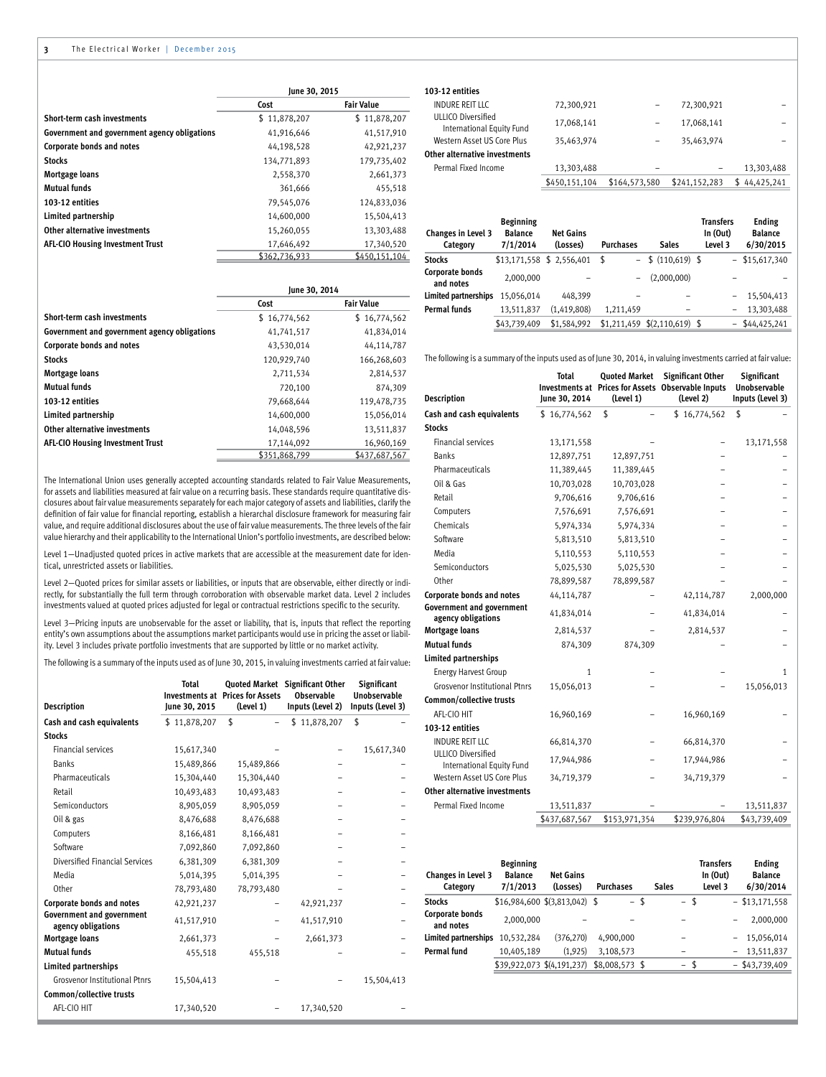#### **3** The Electrical Worker | December 2015

|                                              | June 30, 2015    |                   |  |  |  |
|----------------------------------------------|------------------|-------------------|--|--|--|
|                                              | Cost             | <b>Fair Value</b> |  |  |  |
| Short-term cash investments                  | 11,878,207<br>S. | \$11,878,207      |  |  |  |
| Government and government agency obligations | 41.916.646       | 41.517.910        |  |  |  |
| Corporate bonds and notes                    | 44,198,528       | 42,921,237        |  |  |  |
| <b>Stocks</b>                                | 134,771,893      | 179,735,402       |  |  |  |
| Mortgage loans                               | 2,558,370        | 2,661,373         |  |  |  |
| <b>Mutual funds</b>                          | 361,666          | 455,518           |  |  |  |
| 103-12 entities                              | 79,545,076       | 124,833,036       |  |  |  |
| Limited partnership                          | 14,600,000       | 15.504.413        |  |  |  |
| Other alternative investments                | 15,260,055       | 13,303,488        |  |  |  |
| <b>AFL-CIO Housing Investment Trust</b>      | 17,646,492       | 17,340,520        |  |  |  |
|                                              | \$362,736,933    | \$450,151,104     |  |  |  |

|                                              | June 30, 2014 |                   |  |  |
|----------------------------------------------|---------------|-------------------|--|--|
|                                              | Cost          | <b>Fair Value</b> |  |  |
| Short-term cash investments                  | \$16,774,562  | \$16,774,562      |  |  |
| Government and government agency obligations | 41,741,517    | 41,834,014        |  |  |
| Corporate bonds and notes                    | 43,530,014    | 44,114,787        |  |  |
| <b>Stocks</b>                                | 120,929,740   | 166,268,603       |  |  |
| Mortgage loans                               | 2,711,534     | 2,814,537         |  |  |
| <b>Mutual funds</b>                          | 720.100       | 874,309           |  |  |
| 103-12 entities                              | 79,668,644    | 119,478,735       |  |  |
| Limited partnership                          | 14,600,000    | 15,056,014        |  |  |
| Other alternative investments                | 14,048,596    | 13,511,837        |  |  |
| <b>AFL-CIO Housing Investment Trust</b>      | 17,144,092    | 16,960,169        |  |  |
|                                              | \$351,868,799 | \$437,687,567     |  |  |

The International Union uses generally accepted accounting standards related to Fair Value Measurements, for assets and liabilities measured at fair value on a recurring basis. These standards require quantitative disclosures about fair value measurements separately for each major category of assets and liabilities, clarify the definition of fair value for financial reporting, establish a hierarchal disclosure framework for measuring fair value, and require additional disclosures about the use of fair value measurements. The three levels of the fair value hierarchy and their applicability to the International Union's portfolio investments, are described below:

Level 1—Unadjusted quoted prices in active markets that are accessible at the measurement date for identical, unrestricted assets or liabilities.

Level 2—Quoted prices for similar assets or liabilities, or inputs that are observable, either directly or indirectly, for substantially the full term through corroboration with observable market data. Level 2 includes investments valued at quoted prices adjusted for legal or contractual restrictions specific to the security.

Level 3—Pricing inputs are unobservable for the asset or liability, that is, inputs that reflect the reporting entity's own assumptions about the assumptions market participants would use in pricing the asset or liability. Level 3 includes private portfolio investments that are supported by little or no market activity.

The following is a summary of the inputs used as of June 30, 2015, in valuing investments carried at fair value:

| <b>Description</b>                              | <b>Total</b><br>June 30, 2015 | <b>Investments at Prices for Assets</b><br>(Level 1) | Quoted Market Significant Other<br>Observable<br>Inputs (Level 2) | <b>Significant</b><br>Unobservable<br>Inputs (Level 3) |
|-------------------------------------------------|-------------------------------|------------------------------------------------------|-------------------------------------------------------------------|--------------------------------------------------------|
| Cash and cash equivalents                       | \$11,878,207                  | \$                                                   | \$11,878,207                                                      | \$                                                     |
| <b>Stocks</b>                                   |                               |                                                      |                                                                   |                                                        |
| <b>Financial services</b>                       | 15,617,340                    |                                                      |                                                                   | 15,617,340                                             |
| <b>Banks</b>                                    | 15,489,866                    | 15,489,866                                           |                                                                   |                                                        |
| Pharmaceuticals                                 | 15,304,440                    | 15,304,440                                           |                                                                   |                                                        |
| Retail                                          | 10,493,483                    | 10,493,483                                           |                                                                   |                                                        |
| Semiconductors                                  | 8,905,059                     | 8,905,059                                            |                                                                   |                                                        |
| Oil & gas                                       | 8,476,688                     | 8,476,688                                            |                                                                   |                                                        |
| Computers                                       | 8,166,481                     | 8,166,481                                            |                                                                   |                                                        |
| Software                                        | 7,092,860                     | 7,092,860                                            |                                                                   |                                                        |
| Diversified Financial Services                  | 6,381,309                     | 6,381,309                                            |                                                                   |                                                        |
| Media                                           | 5,014,395                     | 5,014,395                                            |                                                                   |                                                        |
| Other                                           | 78,793,480                    | 78,793,480                                           |                                                                   |                                                        |
| <b>Corporate bonds and notes</b>                | 42,921,237                    |                                                      | 42,921,237                                                        |                                                        |
| Government and government<br>agency obligations | 41,517,910                    |                                                      | 41,517,910                                                        |                                                        |
| Mortgage loans                                  | 2,661,373                     |                                                      | 2,661,373                                                         |                                                        |
| <b>Mutual funds</b>                             | 455,518                       | 455,518                                              |                                                                   |                                                        |
| Limited partnerships                            |                               |                                                      |                                                                   |                                                        |
| <b>Grosvenor Institutional Ptnrs</b>            | 15,504,413                    |                                                      |                                                                   | 15,504,413                                             |
| Common/collective trusts                        |                               |                                                      |                                                                   |                                                        |
| AFL-CIO HIT                                     | 17,340,520                    |                                                      | 17,340,520                                                        |                                                        |

| 103-12 entities                                 |               |               |               |              |
|-------------------------------------------------|---------------|---------------|---------------|--------------|
| INDURE REIT LLC                                 | 72,300,921    |               | 72,300,921    |              |
| ULLICO Diversified<br>International Equity Fund | 17,068,141    |               | 17,068,141    |              |
| Western Asset US Core Plus                      | 35.463.974    |               | 35,463,974    |              |
| Other alternative investments                   |               |               |               |              |
| Permal Fixed Income                             | 13,303,488    |               |               | 13,303,488   |
|                                                 | \$450,151,104 | \$164,573,580 | \$241,152,283 | \$44,425,241 |

| Changes in Level 3<br>Category | <b>Beginning</b><br><b>Balance</b><br>7/1/2014 | <b>Net Gains</b><br>(Losses) | <b>Purchases</b> | <b>Sales</b>                   | Transfers<br>In (Out)<br>Level 3 | <b>Ending</b><br><b>Balance</b><br>6/30/2015 |
|--------------------------------|------------------------------------------------|------------------------------|------------------|--------------------------------|----------------------------------|----------------------------------------------|
| <b>Stocks</b>                  |                                                | $$13,171,558$ \$ 2,556,401   | \$<br>$-$        | $$(110,619)$ \$                | $ \,$                            | \$15,617,340                                 |
| Corporate bonds<br>and notes   | 2,000,000                                      |                              | -                | (2,000,000)                    |                                  |                                              |
| Limited partnerships           | 15.056.014                                     | 448,399                      |                  |                                |                                  | 15,504,413                                   |
| <b>Permal funds</b>            | 13,511,837                                     | (1,419,808)                  | 1,211,459        |                                |                                  | 13,303,488                                   |
|                                | \$43,739,409                                   | \$1,584,992                  |                  | $$1,211,459$ $$(2,110,619)$ \$ |                                  | $-$ \$44,425,241                             |

#### The following is a summary of the inputs used as of June 30, 2014, in valuing investments carried at fair value:

| <b>Description</b>                                     | <b>Total</b><br>June 30, 2014 | <b>Quoted Market</b><br>(Level 1) | <b>Significant Other</b><br>Investments at Prices for Assets Observable Inputs<br>(Level 2) | Significant<br><b>Unobservable</b><br>Inputs (Level 3) |
|--------------------------------------------------------|-------------------------------|-----------------------------------|---------------------------------------------------------------------------------------------|--------------------------------------------------------|
| Cash and cash equivalents                              | \$16,774,562                  | \$                                | \$16,774,562                                                                                | \$                                                     |
| <b>Stocks</b>                                          |                               |                                   |                                                                                             |                                                        |
| <b>Financial services</b>                              | 13,171,558                    |                                   |                                                                                             | 13,171,558                                             |
| <b>Banks</b>                                           | 12,897,751                    | 12,897,751                        |                                                                                             |                                                        |
| Pharmaceuticals                                        | 11,389,445                    | 11,389,445                        |                                                                                             |                                                        |
| Oil & Gas                                              | 10,703,028                    | 10,703,028                        |                                                                                             |                                                        |
| Retail                                                 | 9,706,616                     | 9,706,616                         |                                                                                             |                                                        |
| Computers                                              | 7,576,691                     | 7,576,691                         |                                                                                             |                                                        |
| Chemicals                                              | 5,974,334                     | 5,974,334                         |                                                                                             |                                                        |
| Software                                               | 5,813,510                     | 5,813,510                         |                                                                                             |                                                        |
| Media                                                  | 5,110,553                     | 5,110,553                         |                                                                                             |                                                        |
| Semiconductors                                         | 5,025,530                     | 5,025,530                         |                                                                                             |                                                        |
| Other                                                  | 78,899,587                    | 78,899,587                        |                                                                                             |                                                        |
| Corporate bonds and notes                              | 44,114,787                    |                                   | 42,114,787                                                                                  | 2,000,000                                              |
| <b>Government and government</b><br>agency obligations | 41,834,014                    |                                   | 41,834,014                                                                                  |                                                        |
| Mortgage loans                                         | 2,814,537                     |                                   | 2,814,537                                                                                   |                                                        |
| <b>Mutual funds</b>                                    | 874,309                       | 874,309                           |                                                                                             |                                                        |
| Limited partnerships                                   |                               |                                   |                                                                                             |                                                        |
| <b>Energy Harvest Group</b>                            | $\mathbf{1}$                  |                                   |                                                                                             | $\mathbf{1}$                                           |
| <b>Grosvenor Institutional Ptnrs</b>                   | 15,056,013                    |                                   |                                                                                             | 15,056,013                                             |
| Common/collective trusts                               |                               |                                   |                                                                                             |                                                        |
| AFL-CIO HIT                                            | 16,960,169                    |                                   | 16,960,169                                                                                  |                                                        |
| 103-12 entities                                        |                               |                                   |                                                                                             |                                                        |
| <b>INDURE REIT LLC</b>                                 | 66,814,370                    |                                   | 66,814,370                                                                                  |                                                        |
| <b>ULLICO Diversified</b><br>International Equity Fund | 17,944,986                    |                                   | 17,944,986                                                                                  |                                                        |
| Western Asset US Core Plus                             | 34,719,379                    |                                   | 34,719,379                                                                                  |                                                        |
| <b>Other alternative investments</b>                   |                               |                                   |                                                                                             |                                                        |
| Permal Fixed Income                                    | 13,511,837                    |                                   |                                                                                             | 13,511,837                                             |
|                                                        | \$437,687,567                 | \$153,971,354                     | \$239,976,804                                                                               | \$43,739,409                                           |

| Changes in Level 3<br>Category | <b>Beginning</b><br><b>Balance</b><br>7/1/2013 | <b>Net Gains</b><br>(Losses)  | <b>Purchases</b>                          | <b>Sales</b> | <b>Transfers</b><br>In (Out)<br>Level 3 | <b>Ending</b><br><b>Balance</b><br>6/30/2014 |
|--------------------------------|------------------------------------------------|-------------------------------|-------------------------------------------|--------------|-----------------------------------------|----------------------------------------------|
| <b>Stocks</b>                  |                                                | $$16,984,600 \ (3,813,042) \$ | - \$                                      |              | $-5$                                    | $-$ \$13,171,558                             |
| Corporate bonds<br>and notes   | 2,000,000                                      |                               |                                           |              |                                         | 2,000,000                                    |
| Limited partnerships           | 10.532.284                                     | (376, 270)                    | 4,900,000                                 |              | $\qquad \qquad -$                       | 15,056,014                                   |
| <b>Permal fund</b>             | 10,405,189                                     | (1,925)                       | 3,108,573                                 |              |                                         | 13,511,837                                   |
|                                |                                                |                               | \$39,922,073 \$(4,191,237) \$8,008,573 \$ |              | - \$                                    | $-$ \$43,739,409                             |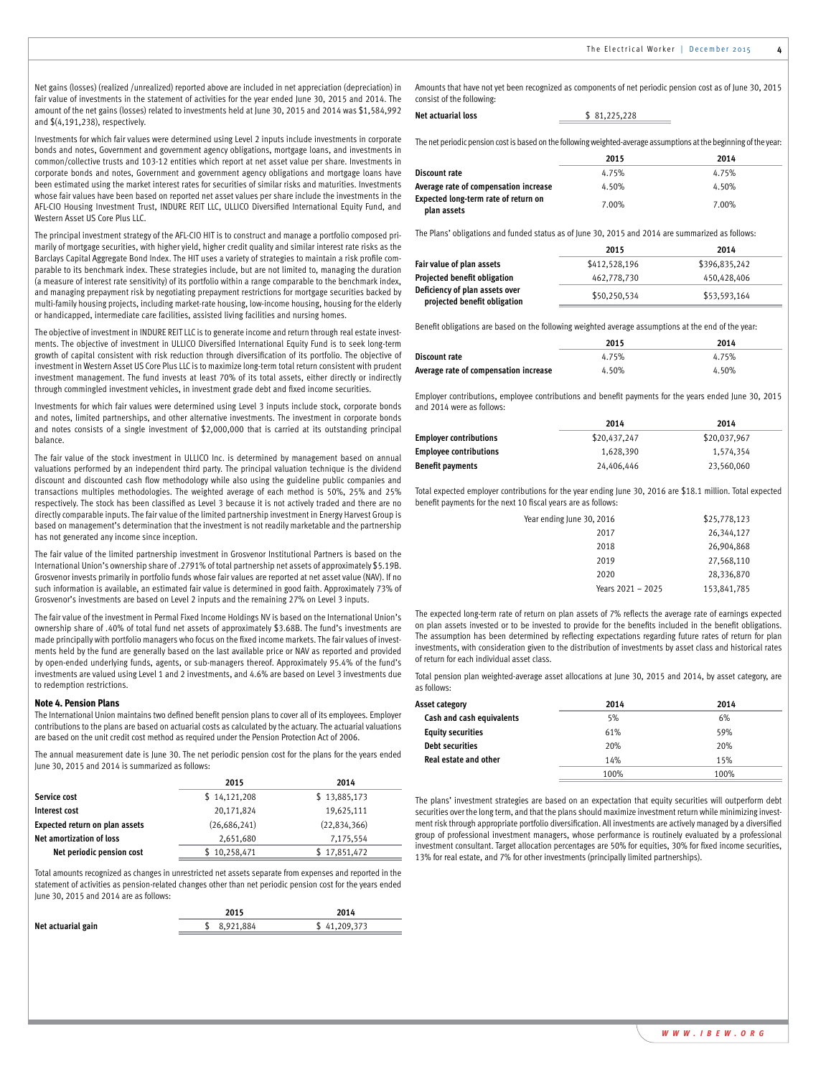Net gains (losses) (realized /unrealized) reported above are included in net appreciation (depreciation) in fair value of investments in the statement of activities for the year ended June 30, 2015 and 2014. The amount of the net gains (losses) related to investments held at June 30, 2015 and 2014 was \$1,584,992 and \$(4,191,238), respectively.

Investments for which fair values were determined using Level 2 inputs include investments in corporate bonds and notes, Government and government agency obligations, mortgage loans, and investments in common/collective trusts and 103-12 entities which report at net asset value per share. Investments in corporate bonds and notes, Government and government agency obligations and mortgage loans have been estimated using the market interest rates for securities of similar risks and maturities. Investments whose fair values have been based on reported net asset values per share include the investments in the AFL-CIO Housing Investment Trust, INDURE REIT LLC, ULLICO Diversified International Equity Fund, and Western Asset US Core Plus LLC.

The principal investment strategy of the AFL-CIO HIT is to construct and manage a portfolio composed primarily of mortgage securities, with higher yield, higher credit quality and similar interest rate risks as the Barclays Capital Aggregate Bond Index. The HIT uses a variety of strategies to maintain a risk profile comparable to its benchmark index. These strategies include, but are not limited to, managing the duration (a measure of interest rate sensitivity) of its portfolio within a range comparable to the benchmark index, and managing prepayment risk by negotiating prepayment restrictions for mortgage securities backed by multi-family housing projects, including market-rate housing, low-income housing, housing for the elderly or handicapped, intermediate care facilities, assisted living facilities and nursing homes.

The objective of investment in INDURE REIT LLC is to generate income and return through real estate investments. The objective of investment in ULLICO Diversified International Equity Fund is to seek long-term growth of capital consistent with risk reduction through diversification of its portfolio. The objective of investment in Western Asset US Core Plus LLC is to maximize long-term total return consistent with prudent investment management. The fund invests at least 70% of its total assets, either directly or indirectly through commingled investment vehicles, in investment grade debt and fixed income securities.

Investments for which fair values were determined using Level 3 inputs include stock, corporate bonds and notes, limited partnerships, and other alternative investments. The investment in corporate bonds and notes consists of a single investment of \$2,000,000 that is carried at its outstanding principal balance.

The fair value of the stock investment in ULLICO Inc. is determined by management based on annual valuations performed by an independent third party. The principal valuation technique is the dividend discount and discounted cash flow methodology while also using the guideline public companies and transactions multiples methodologies. The weighted average of each method is 50%, 25% and 25% respectively. The stock has been classified as Level 3 because it is not actively traded and there are no directly comparable inputs. The fair value of the limited partnership investment in Energy Harvest Group is based on management's determination that the investment is not readily marketable and the partnership has not generated any income since inception.

The fair value of the limited partnership investment in Grosvenor Institutional Partners is based on the International Union's ownership share of .2791% of total partnership net assets of approximately \$5.19B. Grosvenor invests primarily in portfolio funds whose fair values are reported at net asset value (NAV). If no such information is available, an estimated fair value is determined in good faith. Approximately 73% of Grosvenor's investments are based on Level 2 inputs and the remaining 27% on Level 3 inputs.

The fair value of the investment in Permal Fixed Income Holdings NV is based on the International Union's ownership share of .40% of total fund net assets of approximately \$3.68B. The fund's investments are made principally with portfolio managers who focus on the fixed income markets. The fair values of investments held by the fund are generally based on the last available price or NAV as reported and provided by open-ended underlying funds, agents, or sub-managers thereof. Approximately 95.4% of the fund's investments are valued using Level 1 and 2 investments, and 4.6% are based on Level 3 investments due to redemption restrictions.

#### **Note 4. Pension Plans**

The International Union maintains two defined benefit pension plans to cover all of its employees. Employer contributions to the plans are based on actuarial costs as calculated by the actuary. The actuarial valuations are based on the unit credit cost method as required under the Pension Protection Act of 2006.

The annual measurement date is June 30. The net periodic pension cost for the plans for the years ended June 30, 2015 and 2014 is summarized as follows:

|                                | 2015           | 2014         |
|--------------------------------|----------------|--------------|
| Service cost                   | \$14,121,208   | \$13,885,173 |
| Interest cost                  | 20,171,824     | 19,625,111   |
| Expected return on plan assets | (26, 686, 241) | (22,834,366) |
| Net amortization of loss       | 2,651,680      | 7,175,554    |
| Net periodic pension cost      | \$10,258,471   | \$17,851,472 |

Total amounts recognized as changes in unrestricted net assets separate from expenses and reported in the statement of activities as pension-related changes other than net periodic pension cost for the years ended June 30, 2015 and 2014 are as follows:

|                    | 2015        | 2014         |
|--------------------|-------------|--------------|
| Net actuarial gain | \$8.921.884 | \$41,209,373 |

Amounts that have not yet been recognized as components of net periodic pension cost as of June 30, 2015 consist of the following:

| Net actuarial loss | \$81,225,228 |
|--------------------|--------------|
|                    |              |

The net periodic pension cost is based on the following weighted-average assumptions at the beginning of the year:

|                                                     | 2015  | 2014  |
|-----------------------------------------------------|-------|-------|
| Discount rate                                       | 4.75% | 4.75% |
| Average rate of compensation increase               | 4.50% | 4.50% |
| Expected long-term rate of return on<br>plan assets | 7.00% | 7.00% |

The Plans' obligations and funded status as of June 30, 2015 and 2014 are summarized as follows:

|                                                                | 2015          | 2014          |
|----------------------------------------------------------------|---------------|---------------|
| Fair value of plan assets                                      | \$412,528,196 | \$396,835,242 |
| Projected benefit obligation                                   | 462,778,730   | 450.428.406   |
| Deficiency of plan assets over<br>projected benefit obligation | \$50,250,534  | \$53,593,164  |

Benefit obligations are based on the following weighted average assumptions at the end of the year:

|                                       | 2015  | 2014  |
|---------------------------------------|-------|-------|
| Discount rate                         | 4.75% | 4.75% |
| Average rate of compensation increase | 4.50% | 4.50% |

Employer contributions, employee contributions and benefit payments for the years ended June 30, 2015 and 2014 were as follows:

|                               | 2014         | 2014         |
|-------------------------------|--------------|--------------|
| <b>Employer contributions</b> | \$20,437,247 | \$20,037,967 |
| <b>Employee contributions</b> | 1.628.390    | 1.574.354    |
| <b>Benefit payments</b>       | 24,406,446   | 23,560,060   |

Total expected employer contributions for the year ending June 30, 2016 are \$18.1 million. Total expected benefit payments for the next 10 fiscal years are as follows:

| Year ending June 30, 2016 | \$25,778,123 |
|---------------------------|--------------|
| 2017                      | 26, 344, 127 |
| 2018                      | 26,904,868   |
| 2019                      | 27,568,110   |
| 2020                      | 28,336,870   |
| Years 2021 - 2025         | 153,841,785  |

The expected long-term rate of return on plan assets of 7% reflects the average rate of earnings expected on plan assets invested or to be invested to provide for the benefits included in the benefit obligations. The assumption has been determined by reflecting expectations regarding future rates of return for plan investments, with consideration given to the distribution of investments by asset class and historical rates of return for each individual asset class.

Total pension plan weighted-average asset allocations at June 30, 2015 and 2014, by asset category, are as follows:

| Asset category            | 2014 | 2014 |
|---------------------------|------|------|
| Cash and cash equivalents | 5%   | 6%   |
| <b>Equity securities</b>  | 61%  | 59%  |
| <b>Debt securities</b>    | 20%  | 20%  |
| Real estate and other     | 14%  | 15%  |
|                           | 100% | 100% |

The plans' investment strategies are based on an expectation that equity securities will outperform debt securities over the long term, and that the plans should maximize investment return while minimizing investment risk through appropriate portfolio diversification. All investments are actively managed by a diversified group of professional investment managers, whose performance is routinely evaluated by a professional investment consultant. Target allocation percentages are 50% for equities, 30% for fixed income securities, 13% for real estate, and 7% for other investments (principally limited partnerships).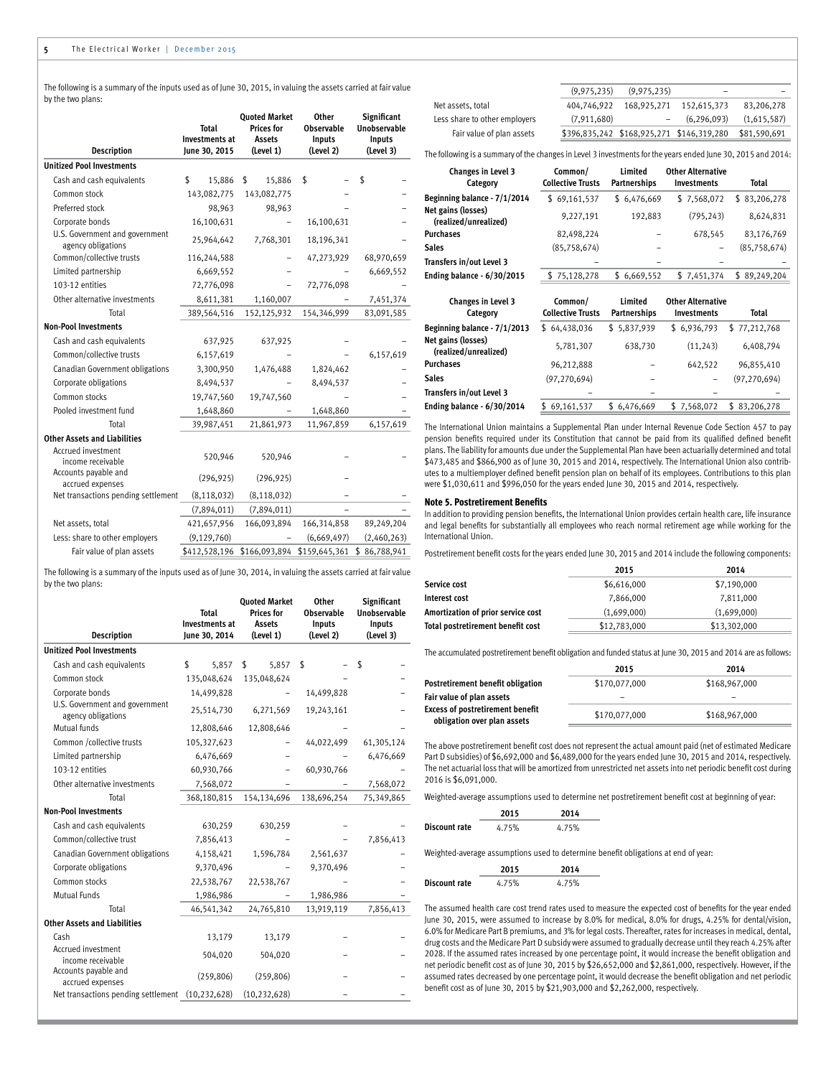| <b>Description</b>                                   | <b>Total</b><br><b>Investments at</b><br>June 30, 2015 | <b>Quoted Market</b><br><b>Prices for</b><br><b>Assets</b><br>(Level 1) | <b>Other</b><br><b>Observable</b><br>Inputs<br>(Level 2) | Significant<br><b>Unobservable</b><br>Inputs<br>(Level 3) |
|------------------------------------------------------|--------------------------------------------------------|-------------------------------------------------------------------------|----------------------------------------------------------|-----------------------------------------------------------|
| <b>Unitized Pool Investments</b>                     |                                                        |                                                                         |                                                          |                                                           |
| Cash and cash equivalents                            | \$<br>15,886                                           | 15,886<br>\$                                                            | \$                                                       | \$                                                        |
| Common stock                                         | 143,082,775                                            | 143,082,775                                                             |                                                          |                                                           |
| Preferred stock                                      | 98,963                                                 | 98,963                                                                  |                                                          |                                                           |
| Corporate bonds                                      | 16,100,631                                             |                                                                         | 16,100,631                                               |                                                           |
| U.S. Government and government<br>agency obligations | 25,964,642                                             | 7,768,301                                                               | 18,196,341                                               |                                                           |
| Common/collective trusts                             | 116,244,588                                            |                                                                         | 47,273,929                                               | 68,970,659                                                |
| Limited partnership                                  | 6,669,552                                              |                                                                         |                                                          | 6,669,552                                                 |
| 103-12 entities                                      | 72,776,098                                             |                                                                         | 72,776,098                                               |                                                           |
| Other alternative investments                        | 8,611,381                                              | 1,160,007                                                               |                                                          | 7,451,374                                                 |
| Total                                                | 389,564,516                                            | 152,125,932                                                             | 154,346,999                                              | 83,091,585                                                |
| <b>Non-Pool Investments</b>                          |                                                        |                                                                         |                                                          |                                                           |
| Cash and cash equivalents                            | 637,925                                                | 637,925                                                                 |                                                          |                                                           |
| Common/collective trusts                             | 6,157,619                                              |                                                                         |                                                          | 6,157,619                                                 |
| Canadian Government obligations                      | 3,300,950                                              | 1,476,488                                                               | 1,824,462                                                |                                                           |
| Corporate obligations                                | 8,494,537                                              |                                                                         | 8,494,537                                                |                                                           |
| Common stocks                                        | 19,747,560                                             | 19,747,560                                                              |                                                          |                                                           |
| Pooled investment fund                               | 1,648,860                                              |                                                                         | 1,648,860                                                |                                                           |
| Total                                                | 39,987,451                                             | 21,861,973                                                              | 11,967,859                                               | 6,157,619                                                 |
| <b>Other Assets and Liabilities</b>                  |                                                        |                                                                         |                                                          |                                                           |
| Accrued investment<br>income receivable              | 520,946                                                | 520,946                                                                 |                                                          |                                                           |
| Accounts payable and<br>accrued expenses             | (296, 925)                                             | (296, 925)                                                              |                                                          |                                                           |
| Net transactions pending settlement                  | (8, 118, 032)                                          | (8, 118, 032)                                                           |                                                          |                                                           |
|                                                      | (7,894,011)                                            | (7,894,011)                                                             |                                                          |                                                           |
| Net assets, total                                    | 421,657,956                                            | 166,093,894                                                             | 166,314,858                                              | 89,249,204                                                |
| Less: share to other employers                       | (9, 129, 760)                                          |                                                                         | (6,669,497)                                              | (2,460,263)                                               |
| Fair value of plan assets                            | \$412,528,196                                          | \$166,093,894                                                           | \$159,645,361                                            | \$86,788,941                                              |

The following is a summary of the inputs used as of June 30, 2015, in valuing the assets carried at fair value by the two plans:

The following is a summary of the inputs used as of June 30, 2014, in valuing the assets carried at fair value by the two plans:

| <b>Description</b>                                   | <b>Total</b><br>Investments at<br>June 30, 2014 | <b>Quoted Market</b><br><b>Prices for</b><br><b>Assets</b><br>(Level 1) | <b>Other</b><br><b>Observable</b><br>Inputs<br>(Level 2) | Significant<br><b>Unobservable</b><br>Inputs<br>(Level 3) |
|------------------------------------------------------|-------------------------------------------------|-------------------------------------------------------------------------|----------------------------------------------------------|-----------------------------------------------------------|
| <b>Unitized Pool Investments</b>                     |                                                 |                                                                         |                                                          |                                                           |
| Cash and cash equivalents                            | \$<br>5,857                                     | \$<br>5,857                                                             | \$                                                       | \$                                                        |
| Common stock                                         | 135,048,624                                     | 135,048,624                                                             |                                                          |                                                           |
| Corporate bonds                                      | 14,499,828                                      |                                                                         | 14,499,828                                               |                                                           |
| U.S. Government and government<br>agency obligations | 25,514,730                                      | 6,271,569                                                               | 19,243,161                                               |                                                           |
| Mutual funds                                         | 12,808,646                                      | 12,808,646                                                              |                                                          |                                                           |
| Common / collective trusts                           | 105,327,623                                     |                                                                         | 44,022,499                                               | 61,305,124                                                |
| Limited partnership                                  | 6,476,669                                       |                                                                         |                                                          | 6,476,669                                                 |
| 103-12 entities                                      | 60,930,766                                      |                                                                         | 60,930,766                                               |                                                           |
| Other alternative investments                        | 7,568,072                                       |                                                                         |                                                          | 7,568,072                                                 |
| Total                                                | 368,180,815                                     | 154,134,696                                                             | 138,696,254                                              | 75,349,865                                                |
| <b>Non-Pool Investments</b>                          |                                                 |                                                                         |                                                          |                                                           |
| Cash and cash equivalents                            | 630,259                                         | 630,259                                                                 |                                                          |                                                           |
| Common/collective trust                              | 7,856,413                                       |                                                                         |                                                          | 7,856,413                                                 |
| Canadian Government obligations                      | 4,158,421                                       | 1,596,784                                                               | 2,561,637                                                |                                                           |
| Corporate obligations                                | 9,370,496                                       |                                                                         | 9,370,496                                                |                                                           |
| Common stocks                                        | 22,538,767                                      | 22,538,767                                                              |                                                          |                                                           |
| <b>Mutual Funds</b>                                  | 1,986,986                                       |                                                                         | 1,986,986                                                |                                                           |
| Total                                                | 46,541,342                                      | 24,765,810                                                              | 13,919,119                                               | 7,856,413                                                 |
| <b>Other Assets and Liabilities</b>                  |                                                 |                                                                         |                                                          |                                                           |
| Cash                                                 | 13,179                                          | 13,179                                                                  |                                                          |                                                           |
| Accrued investment<br>income receivable              | 504,020                                         | 504,020                                                                 |                                                          |                                                           |
| Accounts payable and<br>accrued expenses             | (259, 806)                                      | (259, 806)                                                              |                                                          |                                                           |
| Net transactions pending settlement                  | (10, 232, 628)                                  | (10, 232, 628)                                                          |                                                          |                                                           |

| Net assets, total                                                                                            | 404,746,922                         | 168,925,271                    | 152,615,373                                    | 83,206,278     |
|--------------------------------------------------------------------------------------------------------------|-------------------------------------|--------------------------------|------------------------------------------------|----------------|
| Less share to other employers                                                                                | (7,911,680)                         |                                | (6, 296, 093)                                  | (1,615,587)    |
| Fair value of plan assets                                                                                    |                                     |                                | \$396,835,242 \$168,925,271 \$146,319,280      | \$81,590,691   |
| The following is a summary of the changes in Level 3 investments for the years ended June 30, 2015 and 2014: |                                     |                                |                                                |                |
| Changes in Level 3<br>Category                                                                               | Common/<br><b>Collective Trusts</b> | Limited<br><b>Partnerships</b> | <b>Other Alternative</b><br><b>Investments</b> | <b>Total</b>   |
| Beginning balance - 7/1/2014                                                                                 | \$69,161,537                        | \$6,476,669                    | \$7,568,072                                    | \$83,206,278   |
| Net gains (losses)<br>(realized/unrealized)                                                                  | 9,227,191                           | 192,883                        | (795, 243)                                     | 8,624,831      |
| <b>Purchases</b>                                                                                             | 82,498,224                          |                                | 678,545                                        | 83,176,769     |
| <b>Sales</b>                                                                                                 | (85, 758, 674)                      |                                |                                                | (85, 758, 674) |
| Transfers in/out Level 3                                                                                     |                                     |                                |                                                |                |
|                                                                                                              |                                     |                                |                                                |                |
| Ending balance $-6/30/2015$                                                                                  | \$75,128,278                        | \$6,669,552                    | \$7,451,374                                    | \$89,249,204   |
| Changes in Level 3<br>Category                                                                               | Common/<br><b>Collective Trusts</b> | Limited<br>Partnerships        | <b>Other Alternative</b><br><b>Investments</b> | <b>Total</b>   |
| Beginning balance - 7/1/2013                                                                                 | \$64,438,036                        | \$5,837,939                    | \$6,936,793                                    | \$77,212,768   |
| Net gains (losses)<br>(realized/unrealized)                                                                  | 5,781,307                           | 638,730                        | (11, 243)                                      | 6,408,794      |
| <b>Purchases</b>                                                                                             | 96,212,888                          |                                | 642,522                                        | 96,855,410     |
| <b>Sales</b>                                                                                                 | (97, 270, 694)                      |                                |                                                | (97, 270, 694) |
| Transfers in/out Level 3                                                                                     |                                     |                                |                                                |                |

 $(9,975,235)$   $(9,975,235)$ 

The International Union maintains a Supplemental Plan under Internal Revenue Code Section 457 to pay pension benefits required under its Constitution that cannot be paid from its qualified defined benefit plans. The liability for amounts due under the Supplemental Plan have been actuarially determined and total \$473,485 and \$866,900 as of June 30, 2015 and 2014, respectively. The International Union also contributes to a multiemployer defined benefit pension plan on behalf of its employees. Contributions to this plan were \$1,030,611 and \$996,050 for the years ended June 30, 2015 and 2014, respectively.

#### **Note 5. Postretirement Benefits**

In addition to providing pension benefits, the International Union provides certain health care, life insurance and legal benefits for substantially all employees who reach normal retirement age while working for the International Union.

Postretirement benefit costs for the years ended June 30, 2015 and 2014 include the following components:

|                                    | 2015         | 2014         |
|------------------------------------|--------------|--------------|
| Service cost                       | \$6,616,000  | \$7,190,000  |
| Interest cost                      | 7,866,000    | 7,811,000    |
| Amortization of prior service cost | (1,699,000)  | (1,699,000)  |
| Total postretirement benefit cost  | \$12,783,000 | \$13,302,000 |

The accumulated postretirement benefit obligation and funded status at June 30, 2015 and 2014 are as follows:

|                                                                        | 2015          | 2014          |
|------------------------------------------------------------------------|---------------|---------------|
| Postretirement benefit obligation                                      | \$170,077,000 | \$168,967,000 |
| Fair value of plan assets                                              |               |               |
| <b>Excess of postretirement benefit</b><br>obligation over plan assets | \$170,077,000 | \$168,967,000 |

The above postretirement benefit cost does not represent the actual amount paid (net of estimated Medicare Part D subsidies) of \$6,692,000 and \$6,489,000 for the years ended June 30, 2015 and 2014, respectively. The net actuarial loss that will be amortized from unrestricted net assets into net periodic benefit cost during 2016 is \$6,091,000.

Weighted-average assumptions used to determine net postretirement benefit cost at beginning of year:

|               | 2015  | 2014  |  |
|---------------|-------|-------|--|
| Discount rate | 4.75% | 4.75% |  |

Weighted-average assumptions used to determine benefit obligations at end of year:

|               | 2015  | 2014  |
|---------------|-------|-------|
| Discount rate | 4.75% | 4.75% |

The assumed health care cost trend rates used to measure the expected cost of benefits for the year ended June 30, 2015, were assumed to increase by 8.0% for medical, 8.0% for drugs, 4.25% for dental/vision, 6.0% for Medicare Part B premiums, and 3% for legal costs. Thereafter, rates for increases in medical, dental, drug costs and the Medicare Part D subsidy were assumed to gradually decrease until they reach 4.25% after 2028. If the assumed rates increased by one percentage point, it would increase the benefit obligation and net periodic benefit cost as of June 30, 2015 by \$26,652,000 and \$2,861,000, respectively. However, if the assumed rates decreased by one percentage point, it would decrease the benefit obligation and net periodic benefit cost as of June 30, 2015 by \$21,903,000 and \$2,262,000, respectively.